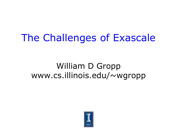### The Challenges of Exascale

### William D Gropp www.cs.illinois.edu/~wgropp

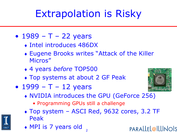### Extrapolation is Risky

- $1989 T 22$  years
	- Intel introduces 486DX
	- Eugene Brooks writes "Attack of the Killer Micros"
	- 4 years *before* TOP500
	- Top systems at about 2 GF Peak
- $1999 T 12$  years
- 
- NVIDIA introduces the GPU (GeForce 256)
	- Programming GPUs still a challenge
- Top system ASCI Red, 9632 cores, 3.2 TF Peak
- MPI is 7 years old

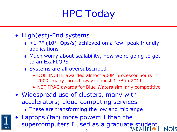# HPC Today

- High(est)-End systems
	- $\rightarrow$  >1 PF (10<sup>15</sup> Ops/s) achieved on a few "peak friendly" applications
	- Much worry about scalability, how we're going to get to an ExaFLOPS
	- Systems are all oversubscribed
		- DOE INCITE awarded almost 900M processor hours in 2009, many turned away; almost 1.7B in 2011
		- NSF PRAC awards for Blue Waters similarly competitive
- Widespread use of clusters, many with accelerators; cloud computing services
	- These are transforming the low and midrange

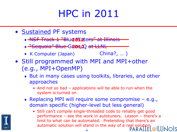### HPC in 2011

- Sustained PF systems
	- NSF Track 1 "Blue Waters" at Illinois **2012**
	- $\rightarrow$  "Sequoia" Blue G204/22 at LLNL
	- ◆ K Computer (Japan) (China?, ...)
- Still programmed with MPI and MPI+other (e.g., MPI+OpenMP)
	- But in many cases using toolkits, libraries, and other approaches
		- And not so bad applications will be able to run when the system is turned on
	- $\bullet$  Replacing MPI will require some compromise e.g., domain specific (higher-level but less general)
		- Still can't compile single-threaded code to reliably get good performance – see the work in autotuners. Lesson – there's a limit to what can be automated. Pretending that there's an automatic solution will stand in the way of a real solution

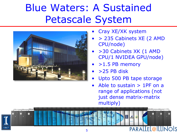### Blue Waters: A Sustained Petascale System



- Cray XE/XK system
- > 235 Cabinets XE (2 AMD CPU/node)
- >30 Cabinets XK (1 AMD CPU/1 NVIDEA GPU/node)
- $\bullet$  > 1.5 PB memory
- >25 PB disk
- Upto 500 PB tape storage
- Able to sustain > 1PF on a range of applications (not just dense matrix-matrix multiply)

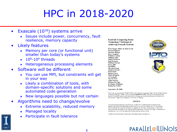# HPC in 2018-2020

- Exascale  $(10^{18})$  systems arrive
	- Issues include power, concurrency, fault resilience, memory capacity
- Likely features
	- Memory per core (or functional unit) smaller than today's systems
	- $\cdot$  10<sup>8</sup>-10<sup>9</sup> threads
	- Heterogeneous processing elements
- Software *will* be different
	- You *can* use MPI, but constraints will get in your way
	- Likely a combination of tools, with domain-specific solutions and some automated code generation
	- New languages possible but not certain
- Algorithms need to change/evolve
	- Extreme scalability, reduced memory
	- Managed locality
	- Participate in fault tolerance

**ExaScale Computing Study: Technology Challenges in Achieving Exascale Systems** 

Peter Kogge, Editor & Study Lead Keren Bergman **Shekhar Borkar** Dan Campbell **William Carlson William Dally Monty Denneau** Paul Franzon **William Harrod Kerry Hill** Jon Hiller **Sherman Karp** Stephen Keckler Dean Klein **Robert Lucas Mark Richards** Al Scarpelli **Steven Scott Allan Snavely Thomas Sterling** R. Stanley Williams Katherine Yelick

September 28, 2008

This work was sponsored by DARPA IPTO in the ExaScale Computing Study with Dr. William Harrod as Program Manager; AFRL contract number FA8650-07-C-7724. This report is published in the interest of scientific and technical information exchange and its publication does not constitute the Government's approval or disapproval of its ideas or findings

#### **NOTICE**

Using Government drawings, specifications, or other data included in this document for any purpose other than Government procurement does not in any way obligate the U.S. Government. The fact that the Government formulated or supplied the drawings, specifications, or other data does not license the holder or any other person or corporation; or convey any rights or permission to manufacture, use, or sell any patented invention that may relate to them

APPROVED FOR PUBLIC RELEASE, DISTRIBUTION UNLIMITED







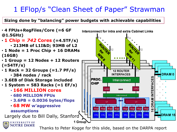### 1 EFlop/s "Clean Sheet of Paper" Strawman

#### **Sizing done by "balancing" power budgets with achievable capabilities**



Thanks to Peter Kogge for this slide, based on the DARPA report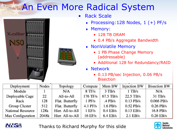### An Even More Radical System





- **Rack Scale** 
	- Processing:128 Nodes, 1 (+) PF/s
	- Memory:
		- 128 TB DRAM
		- 0.4 PB/s Aggregate Bandwidth
	- NonVolatile Memory
		- 1 PB Phase Change Memory (addressable)
		- Additional 128 for Redundancy/RAID
	- Network
		- 0.13 PB/sec Injection, 0.06 PB/s Bisection

| Deployment          | Nodes | Topology         | Compute    | Mem BW     | <b>Injection BW</b> | <b>Bisection BW</b> |
|---------------------|-------|------------------|------------|------------|---------------------|---------------------|
| Module <sub>1</sub> |       | N/A              | $8$ TF/s   | $3$ TB/s   | $1$ TB/s            | N/A                 |
| Deployable Cage     | 22.   | All-to-All       | 176 TF/s   | 67.5 TB/s  | $22.5$ TB/s         | $31$ TB/s           |
| Rack:               | 128   | Flat. Butterfly  | $1$ PF/s.  | $A$ PB/s   | $0.13$ PB/s         | 0.066 PB/s          |
| Group Cluster       | 512.  | Flat. Butterfly  | $4.1$ PF/s | $1.6$ PB/s | $0.52$ PB/s         | $0.26$ PB/s         |
| National Resource   | 128k  | Hier. All-to-All | 1 EFs      | $0.4$ EB/s | $0.13$ EB/s         | 16.8 PB/s           |
| Max Configuration   | 2048k | Hier. All-to-All | 16 EF/s    | $6.4$ EB/s | $2.1$ EB/s          | $0.26$ EB/s         |



Thanks to Richard Murphy for this slide

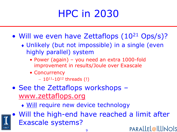### HPC in 2030

- Will we even have Zettaflops (10<sup>21</sup> Ops/s)?
	- Unlikely (but not impossible) in a single (even highly parallel) system
		- Power (again) you need an extra 1000-fold improvement in results/Joule over Exascale
		- Concurrency
			- $-10^{11} 10^{12}$  threads (!)
- See the Zettaflops workshops [www.zettaflops.org](http://www.zettaflops.org)
	- Will require new device technology

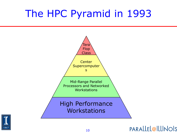### The HPC Pyramid in 1993



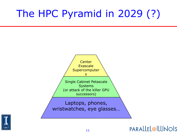# The HPC Pyramid in 2029 (?)



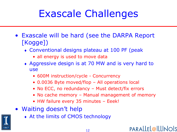### Exascale Challenges

- Exascale will be hard (see the DARPA Report [Kogge])
	- Conventional designs plateau at 100 PF (peak
		- all energy is used to move data
	- Aggressive design is at 70 MW and is very hard to use
		- 600M instruction/cycle Concurrency
		- 0.0036 Byte moved/flop All operations local
		- No ECC, no redundancy Must detect/fix errors
		- No cache memory Manual management of memory
		- HW failure every 35 minutes Eeek!
- Waiting doesn't help
- 

At the limits of CMOS technology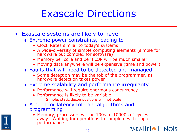### Exascale Directions

- Exascale systems are likely to have
	- Extreme power constraints, leading to
		- Clock Rates similar to today's systems
		- A wide-diversity of simple computing elements (simple for hardware but complex for software)
		- Memory per core and per FLOP will be much smaller
		- Moving data anywhere will be expensive (time and power)
	- Faults that will need to be detected and managed
		- Some detection may be the job of the programmer, as hardware detection takes power
	- Extreme scalability and performance irregularity
		- Performance will require enormous concurrency
		- Performance is likely to be variable
			- Simple, static decompositions will not scale
	- A need for latency tolerant algorithms and programming
		- Memory, processors will be 100s to 10000s of cycles away. Waiting for operations to complete will cripple performancePARALLEL@ILLINOIS

13

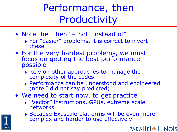Performance, then Productivity

- Note the "then" not "instead of"
	- For "easier" problems, it is correct to invert these
- For the very hardest problems, we must focus on getting the best performance possible
	- Rely on other approaches to manage the complexity of the codes
	- Performance can be understood and engineered (note I did not say predicted)
- We need to start now, to get practice
	- "Vector" instructions, GPUs, extreme scale networks
	- Because Exascale platforms will be even more complex and harder to use effectively

PARALLEL@ILLINOIS

14

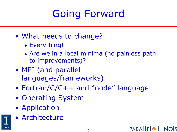# Going Forward

- What needs to change?
	- Everything!
	- Are we in a local minima (no painless path to improvements)?
- MPI (and parallel languages/frameworks)
- Fortran/C/C++ and "node" language
- Operating System
- Application
- Architecture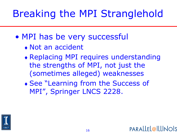# Breaking the MPI Stranglehold

- MPI has be very successful
	- Not an accident
	- Replacing MPI requires understanding the strengths of MPI, not just the (sometimes alleged) weaknesses
	- See "Learning from the Success of MPI", Springer LNCS 2228.

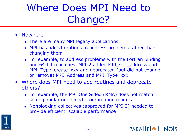# Where Does MPI Need to Change?

- Nowhere
	- There are many MPI legacy applications
	- MPI has added routines to address problems rather than changing them
	- For example, to address problems with the Fortran binding and 64-bit machines, MPI-2 added MPI\_Get\_address and MPI\_Type\_create\_xxx and deprecated (but did not change or remove) MPI\_Address and MPI\_Type\_xxx.
- Where does MPI need to add routines and deprecate others?
	- For example, the MPI One Sided (RMA) does not match some popular one-sided programming models
	- Nonblocking collectives (approved for MPI-3) needed to provide efficient, scalable performance

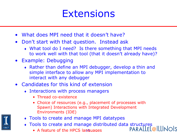### **Extensions**

- What does MPI need that it doesn't have?
- Don't start with that question. Instead ask
	- What tool do I need? Is there something that MPI needs to work well with that tool (that it doesn't already have)?
- Example: Debugging
	- Rather than define an MPI debugger, develop a thin and simple interface to allow any MPI implementation to interact with any debugger
- Candidates for this kind of extension
	- Interactions with process managers
		- Thread co-existence
		- Choice of resources (e.g., placement of processes with Spawn) Interactions with Integrated Development Environments (IDE)
	- Tools to create and manage MPI datatypes
	- Tools to create and manage distributed data structures
		- 18 • A feature of the HPCS languages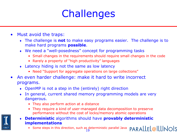### **Challenges**

- Must avoid the traps:
	- The challenge is **not** to make easy programs easier. The challenge is to make hard programs **possible**.
	- We need a "well-posedness" concept for programming tasks
		- Small changes in the requirements should require small changes in the code
		- Rarely a property of "high productivity" languages
	- Latency hiding is not the same as low latency
		- Need "Support for aggregate operations on large collections"
- An even harder challenge: make it hard to write incorrect programs.
	- OpenMP is not a step in the (entirely) right direction
	- In general, current shared memory programming models are very dangerous.
		- They also perform action at a distance
		- They require a kind of user-managed data decomposition to preserve performance without the cost of locks/memory atomic operations
	- **Deterministic** algorithms should have **provably deterministic implementations**
		- PARALLEL@ILLINOIS • Some steps in this direction, such as deterministic parallel Java19

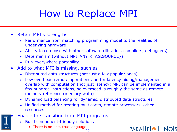# How to Replace MPI

- Retain MPI's strengths
	- Performance from matching programming model to the realities of underlying hardware
	- Ability to compose with other software (libraries, compilers, debuggers)
	- Determinism (without MPI\_ANY\_{TAG,SOURCE})
	- Run-everywhere portability
- Add to what MPI is missing, such as
	- Distributed data structures (not just a few popular ones)
	- Low overhead remote operations; better latency hiding/management; overlap with computation (not just latency; MPI can be implemented in a few hundred instructions, so overhead is roughly the same as remote memory reference (memory wall))
	- Dynamic load balancing for dynamic, distributed data structures
	- Unified method for treating multicores, remote processors, other resources
- Enable the transition from MPI programs
	- Build component-friendly solutions
		- 20 • There is no one, true language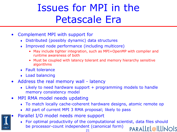### Issues for MPI in the Petascale Era

- Complement MPI with support for
	- Distributed (possibly dynamic) data structures
	- Improved node performance (including multicore)
		- May include tighter integration, such as MPI+OpenMP with compiler and runtime awareness of both
		- Must be coupled with latency tolerant and memory hierarchy sensitive algorithms
	- Fault tolerance
	- Load balancing
- Address the real memory wall latency
	- Likely to need hardware support + programming models to handle memory consistency model
- MPI RMA model needs updating
	- To match locally cache-coherent hardware designs, atomic remote op
	- All part of current MPI 3 RMA proposal; likely to pass
- Parallel I/O model needs more support
	- For optimal productivity of the computational scientist, data files should be processor-count independent (canonical form)PARALLEL@ILLINOIS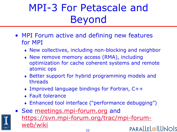# MPI-3 For Petascale and Beyond

- MPI Forum active and defining new features for MPI
	- New collectives, including non-blocking and neighbor
	- New remove memory access (RMA), including optimization for cache coherent systems and remote atomic ops
	- Better support for hybrid programming models and threads
	- Improved language bindings for Fortran, C++
	- Fault tolerance
	- Enhanced tool interface ("performance debugging")

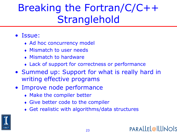### Breaking the Fortran/C/C++ **Stranglehold**

#### • Issue:

- Ad hoc concurrency model
- Mismatch to user needs
- Mismatch to hardware
- Lack of support for correctness or performance
- Summed up: Support for what is really hard in writing effective programs
- Improve node performance
	- Make the compiler better
	- Give better code to the compiler
	- Get realistic with algorithms/data structures

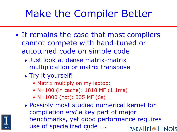### Make the Compiler Better

- It remains the case that most compilers cannot compete with hand-tuned or autotuned code on simple code
	- Just look at dense matrix-matrix multiplication or matrix transpose
	- Try it yourself!
		- Matrix multiply on my laptop:
		- N=100 (in cache): 1818 MF (1.1ms)
		- N=1000 (not): 335 MF (6s)
	- Possibly most studied numerical kernel for compilation *and* a key part of major benchmarks, yet good performance requires use of specialized code ….PARALLEL@ILLINOIS 24

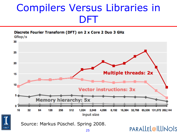### Compilers Versus Libraries in DFT

Discrete Fourier Transform (DFT) on 2 x Core 2 Duo 3 GHz Gflop/s





Source: Markus Püschel. Spring 2008.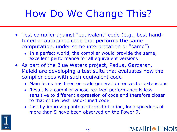# How Do We Change This?

- Test compiler against "equivalent" code (e.g., best handtuned or autotuned code that performs the same computation, under some interpretation or "same")
	- In a perfect world, the compiler would provide the same, excellent performance for all equivalent versions
- As part of the Blue Waters project, Padua, Garzaran, Maleki are developing a test suite that evaluates how the compiler does with such equivalent code
	- Main focus has been on code generation for vector extensions
	- Result is a compiler whose realized performance is less sensitive to different expression of code and therefore closer to that of the best hand-tuned code.
	- Just by improving automatic vectorization, loop speedups of more than 5 have been observed on the Power 7.

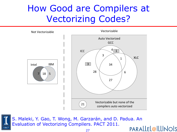### How Good are Compilers at Vectorizing Codes?





S. Maleki, Y. Gao, T. Wong, M. Garzarán, and D. Padua. An Evaluation of Vectorizing Compilers. PACT 2011.PARALLEL@ILLINOIS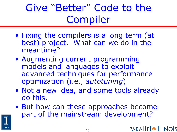Give "Better" Code to the Compiler

- Fixing the compilers is a long term (at best) project. What can we do in the meantime?
- Augmenting current programming models and languages to exploit advanced techniques for performance optimization (i.e., *autotuning*)
- Not a new idea, and some tools already do this.
- But how can these approaches become part of the mainstream development?

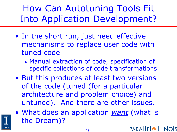How Can Autotuning Tools Fit Into Application Development?

- In the short run, just need effective mechanisms to replace user code with tuned code
	- Manual extraction of code, specification of specific collections of code transformations
- But this produces at least two versions of the code (tuned (for a particular architecture and problem choice) and untuned). And there are other issues.
- What does an application *want* (what is the Dream)?PARALLEL@ILLINOIS

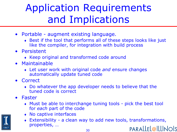### Application Requirements and Implications

- Portable augment existing language.
	- Best if the tool that performs all of these steps looks like just like the compiler, for integration with build process
- Persistent
	- Keep original and transformed code around
- Maintainable
	- Let user work with original code *and* ensure changes automatically update tuned code
- Correct
	- Do whatever the app developer needs to believe that the tuned code is correct
- Faster
	- Must be able to interchange tuning tools pick the best tool for *each* part of the code
	- No captive interfaces
	- Extensibility a clean way to add new tools, transformations, properties, …PARALLEL@ILLINOIS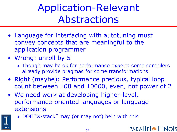### Application-Relevant Abstractions

- Language for interfacing with autotuning must convey concepts that are meaningful to the application programmer
- Wrong: unroll by 5
	- Though may be ok for performance expert; some compilers already provide pragmas for some transformations
- Right (maybe): Performance precious, typical loop count between 100 and 10000, even, not power of 2
- We need work at developing higher-level, performance-oriented languages or language extensions



DOE "X-stack" may (or may not) help with this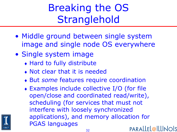### Breaking the OS **Stranglehold**

- Middle ground between single system image and single node OS everywhere
- Single system image
	- Hard to fully distribute
	- Not clear that it is needed
	- But *some* features require coordination
	- Examples include collective I/O (for file open/close and coordinated read/write), scheduling (for services that must not interfere with loosely synchronized applications), and memory allocation for PGAS languagesPARALLEL@ILLINOIS

32

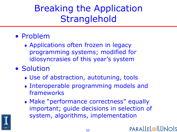### Breaking the Application **Stranglehold**

- Problem
	- Applications often frozen in legacy programming systems; modified for idiosyncrasies of this year's system
- Solution
	- Use of abstraction, autotuning, tools
	- Interoperable programming models and frameworks
	- Make "performance correctness" equally important; guide decisions in selection of system, algorithms, implementation

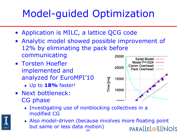## Model-guided Optimization

- Application is MILC, a lattice QCG code
- Analytic model showed possible improvement of 12% by eliminating the pack before communicating 25000
- Torsten Hoefler implemented and analyzed for EuroMPI'10
	- Up to **18%** faster!
- Next bottleneck: CG phase



- Investigating use of nonblocking collectives in a modified CG
- Also model-driven (because involves more floating point but same or less data motion)PARALLEL@ILLINOIS 34

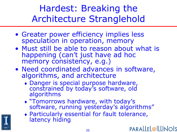Hardest: Breaking the Architecture Stranglehold

- Greater power efficiency implies less speculation in operation, memory
- Must still be able to reason about what is happening (can't just have ad hoc memory consistency, e.g.)
- Need coordinated advances in software, algorithms, and architecture
	- Danger is special purpose hardware, constrained by today's software, old algorithms
	- "Tomorrows hardware, with today's software, running yesterday's algorithms"
	- Particularly essential for fault tolerance, latency hiding

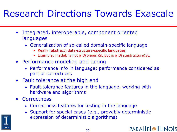### Research Directions Towards Exascale

- Integrated, interoperable, component oriented languages
	- Generalization of so-called domain-specific language
		- Really (abstract) data-structure-specific languages
		- Example: matlab is not a D(omain)SL but is a D(atastructure)SL
- Performance modeling and tuning
	- Performance info in language; performance considered as part of correctness
- Fault tolerance at the high end
	- Fault tolerance features in the language, working with hardware and algorithms
- Correctness
	- Correctness features for testing in the language
	- Support for special cases (e.g., provably deterministic expression of deterministic algorithms)

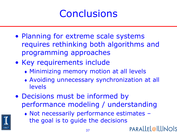### **Conclusions**

- Planning for extreme scale systems requires rethinking both algorithms and programming approaches
- Key requirements include
	- Minimizing memory motion at all levels
	- Avoiding unnecessary synchronization at all levels
- Decisions must be informed by performance modeling / understanding



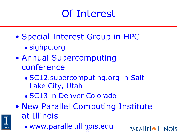### Of Interest

- Special Interest Group in HPC
	- sighpc.org
- Annual Supercomputing conference
	- SC12.supercomputing.org in Salt Lake City, Utah
	- SC13 in Denver Colorado
- New Parallel Computing Institute at Illinois
	- 38 www.parallel.illinois.edu

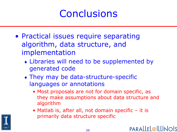### **Conclusions**

- Practical issues require separating algorithm, data structure, and implementation
	- Libraries will need to be supplemented by generated code
	- They may be data-structure-specific languages or annotations
		- Most proposals are not for domain specific, as they make assumptions about data structure and algorithm
		- Matlab is, after all, not domain specific it is primarily data structure specific

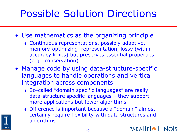# Possible Solution Directions

- Use mathematics as the organizing principle
	- Continuous representations, possibly adaptive, memory-optimizing representation, lossy (within accuracy limits) but preserves essential properties (e.g., conservation)
- Manage code by using data-structure-specific languages to handle operations and vertical integration across components
	- So-called "domain specific languages" are really data-structure specific languages – they support more applications but fewer algorithms.
	- Difference is important because a "domain" almost certainly require flexibility with data structures and algorithms